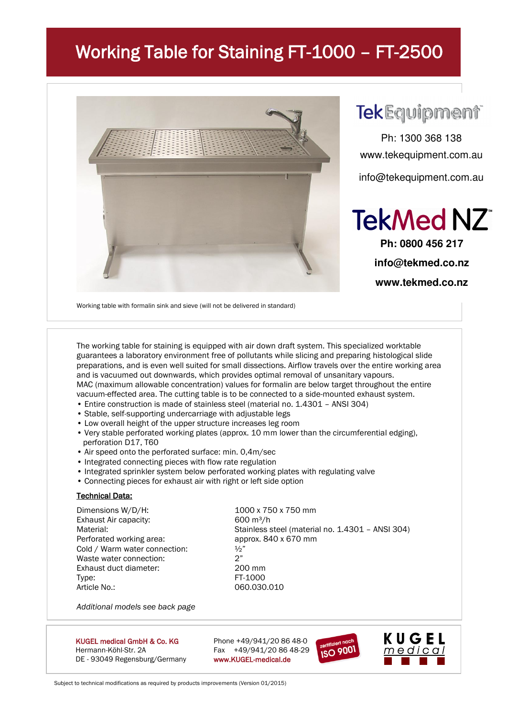## Working Table for Staining FT-1000 – FT-2500



## **TekEquipment**

Ph: 1300 368 138 www.tekequipment.com.au info@tekequipment.com.au



**Ph: 0800 456 217 info@tekmed.co.nz www.tekmed.co.nz** 

Working table with formalin sink and sieve (will not be delivered in standard)

The working table for staining is equipped with air down draft system. This specialized worktable guarantees a laboratory environment free of pollutants while slicing and preparing histological slide preparations, and is even well suited for small dissections. Airflow travels over the entire working area and is vacuumed out downwards, which provides optimal removal of unsanitary vapours. MAC (maximum allowable concentration) values for formalin are below target throughout the entire vacuum-effected area. The cutting table is to be connected to a side-mounted exhaust system.

- Entire construction is made of stainless steel (material no. 1.4301 ANSI 304)
- Stable, self-supporting undercarriage with adjustable legs
- Low overall height of the upper structure increases leg room
- Very stable perforated working plates (approx. 10 mm lower than the circumferential edging), perforation D17, T60
- Air speed onto the perforated surface: min. 0,4m/sec
- Integrated connecting pieces with flow rate regulation
- Integrated sprinkler system below perforated working plates with regulating valve
- Connecting pieces for exhaust air with right or left side option

#### **Technical Data:**

Dimensions W/D/H: 1000 x 750 x 750 mm Exhaust Air capacity: 600 m<sup>3</sup>/h Perforated working area: approx. 840 x 670 mm Cold / Warm water connection:  $\frac{1}{2}$ <br>Waste water connection:  $2"$ Waste water connection: Exhaust duct diameter: 200 mm Type: FT-1000 Article No.: 060.030.010

Material: Material: Stainless steel (material no. 1.4301 – ANSI 304)

*Additional models see back page*

KUGEL medical GmbH & Co. KG Phone  $+49/941/208648-0$ Hermann-Köhl-Str. 2A Fax +49/941/20 86 48-29 DE - 93049 Regensburg/Germany www.KUGEL-medical.de





Subject to technical modifications as required by products improvements (Version 01/2015)